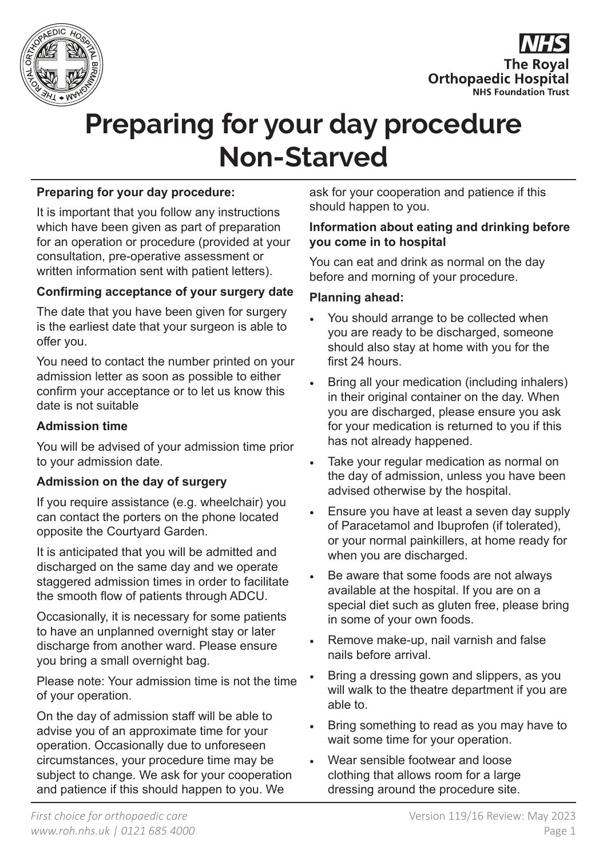



# **Preparing for your day procedure Non-Starved**

## **Preparing for your day procedure:**

It is important that you follow any instructions which have been given as part of preparation for an operation or procedure (provided at your consultation, pre-operative assessment or written information sent with patient letters).

## **Confirming acceptance of your surgery date**

The date that you have been given for surgery is the earliest date that your surgeon is able to offer you.

You need to contact the number printed on your admission letter as soon as possible to either confirm your acceptance or to let us know this date is not suitable

### **Admission time**

You will be advised of your admission time prior to your admission date.

#### **Admission on the day of surgery**

If you require assistance (e.g. wheelchair) you can contact the porters on the phone located opposite the Courtyard Garden.

It is anticipated that you will be admitted and discharged on the same day and we operate staggered admission times in order to facilitate the smooth flow of patients through ADCU.

Occasionally, it is necessary for some patients to have an unplanned overnight stay or later discharge from another ward. Please ensure you bring a small overnight bag.

Please note: Your admission time is not the time of your operation.

On the day of admission staff will be able to advise you of an approximate time for your operation. Occasionally due to unforeseen circumstances, your procedure time may be subject to change. We ask for your cooperation and patience if this should happen to you. We

ask for your cooperation and patience if this should happen to you.

#### **Information about eating and drinking before you come in to hospital**

You can eat and drink as normal on the day before and morning of your procedure.

#### **Planning ahead:**

- You should arrange to be collected when you are ready to be discharged, someone should also stay at home with you for the first 24 hours.
- Bring all your medication (including inhalers) in their original container on the day. When you are discharged, please ensure you ask for your medication is returned to you if this has not already happened.
- Take your regular medication as normal on the day of admission, unless you have been advised otherwise by the hospital.
- Ensure you have at least a seven day supply of Paracetamol and Ibuprofen (if tolerated), or your normal painkillers, at home ready for when you are discharged.
- Be aware that some foods are not always available at the hospital. If you are on a special diet such as gluten free, please bring in some of your own foods.
- Remove make-up, nail varnish and false nails before arrival.
- Bring a dressing gown and slippers, as you will walk to the theatre department if you are able to.
- Bring something to read as you may have to wait some time for your operation.
- Wear sensible footwear and loose clothing that allows room for a large dressing around the procedure site.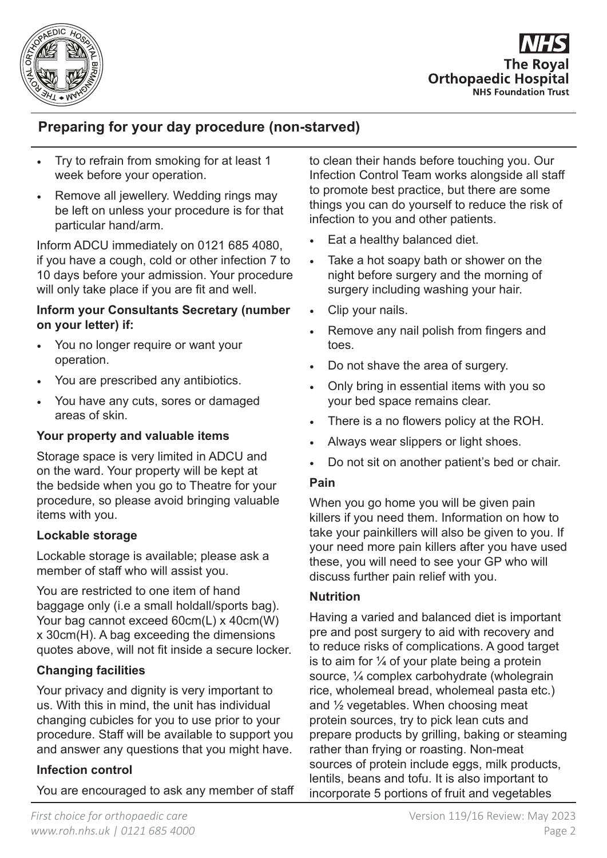

**The Roval Orthopaedic Hospital NHS Foundation Trust** 

# **Preparing for your day procedure (non-starved)**

- Try to refrain from smoking for at least 1 week before your operation.
- Remove all jewellery. Wedding rings may be left on unless your procedure is for that particular hand/arm.

Inform ADCU immediately on 0121 685 4080, if you have a cough, cold or other infection 7 to 10 days before your admission. Your procedure will only take place if you are fit and well.

### **Inform your Consultants Secretary (number on your letter) if:**

- You no longer require or want your operation.
- You are prescribed any antibiotics.
- You have any cuts, sores or damaged areas of skin.

# **Your property and valuable items**

Storage space is very limited in ADCU and on the ward. Your property will be kept at the bedside when you go to Theatre for your procedure, so please avoid bringing valuable items with you.

# **Lockable storage**

Lockable storage is available; please ask a member of staff who will assist you.

You are restricted to one item of hand baggage only (i.e a small holdall/sports bag). Your bag cannot exceed 60cm(L) x 40cm(W) x 30cm(H). A bag exceeding the dimensions quotes above, will not fit inside a secure locker.

# **Changing facilities**

Your privacy and dignity is very important to us. With this in mind, the unit has individual changing cubicles for you to use prior to your procedure. Staff will be available to support you and answer any questions that you might have.

# **Infection control**

You are encouraged to ask any member of staff

to clean their hands before touching you. Our Infection Control Team works alongside all staff to promote best practice, but there are some things you can do yourself to reduce the risk of infection to you and other patients.

- Eat a healthy balanced diet.
- Take a hot soapy bath or shower on the night before surgery and the morning of surgery including washing your hair.
- Clip your nails.
- Remove any nail polish from fingers and toes.
- Do not shave the area of surgery.
- Only bring in essential items with you so your bed space remains clear.
- There is a no flowers policy at the ROH.
- Always wear slippers or light shoes.
- Do not sit on another patient's bed or chair.

#### **Pain**

When you go home you will be given pain killers if you need them. Information on how to take your painkillers will also be given to you. If your need more pain killers after you have used these, you will need to see your GP who will discuss further pain relief with you.

# **Nutrition**

Having a varied and balanced diet is important pre and post surgery to aid with recovery and to reduce risks of complications. A good target is to aim for  $\frac{1}{4}$  of your plate being a protein source, ¼ complex carbohydrate (wholegrain rice, wholemeal bread, wholemeal pasta etc.) and ½ vegetables. When choosing meat protein sources, try to pick lean cuts and prepare products by grilling, baking or steaming rather than frying or roasting. Non-meat sources of protein include eggs, milk products, lentils, beans and tofu. It is also important to incorporate 5 portions of fruit and vegetables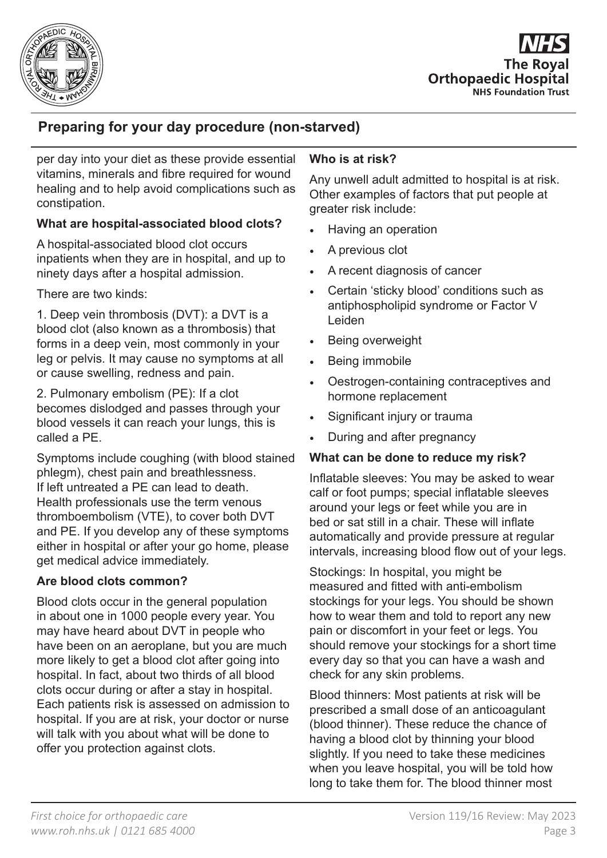

**The Roval Orthopaedic Hospital NHS Foundation Trust** 

# **Preparing for your day procedure (non-starved)**

per day into your diet as these provide essential vitamins, minerals and fibre required for wound healing and to help avoid complications such as constipation.

# **What are hospital-associated blood clots?**

A hospital-associated blood clot occurs inpatients when they are in hospital, and up to ninety days after a hospital admission.

There are two kinds:

1. Deep vein thrombosis (DVT): a DVT is a blood clot (also known as a thrombosis) that forms in a deep vein, most commonly in your leg or pelvis. It may cause no symptoms at all or cause swelling, redness and pain.

2. Pulmonary embolism (PE): If a clot becomes dislodged and passes through your blood vessels it can reach your lungs, this is called a PE.

Symptoms include coughing (with blood stained phlegm), chest pain and breathlessness. If left untreated a PE can lead to death. Health professionals use the term venous thromboembolism (VTE), to cover both DVT and PE. If you develop any of these symptoms either in hospital or after your go home, please get medical advice immediately.

# **Are blood clots common?**

Blood clots occur in the general population in about one in 1000 people every year. You may have heard about DVT in people who have been on an aeroplane, but you are much more likely to get a blood clot after going into hospital. In fact, about two thirds of all blood clots occur during or after a stay in hospital. Each patients risk is assessed on admission to hospital. If you are at risk, your doctor or nurse will talk with you about what will be done to offer you protection against clots.

# **Who is at risk?**

Any unwell adult admitted to hospital is at risk. Other examples of factors that put people at greater risk include:

- Having an operation
- A previous clot
- A recent diagnosis of cancer
- Certain 'sticky blood' conditions such as antiphospholipid syndrome or Factor V Leiden
- Being overweight
- Being immobile
- Oestrogen-containing contraceptives and hormone replacement
- Significant injury or trauma
- During and after pregnancy

# **What can be done to reduce my risk?**

Inflatable sleeves: You may be asked to wear calf or foot pumps; special inflatable sleeves around your legs or feet while you are in bed or sat still in a chair. These will inflate automatically and provide pressure at regular intervals, increasing blood flow out of your legs.

Stockings: In hospital, you might be measured and fitted with anti-embolism stockings for your legs. You should be shown how to wear them and told to report any new pain or discomfort in your feet or legs. You should remove your stockings for a short time every day so that you can have a wash and check for any skin problems.

Blood thinners: Most patients at risk will be prescribed a small dose of an anticoagulant (blood thinner). These reduce the chance of having a blood clot by thinning your blood slightly. If you need to take these medicines when you leave hospital, you will be told how long to take them for. The blood thinner most